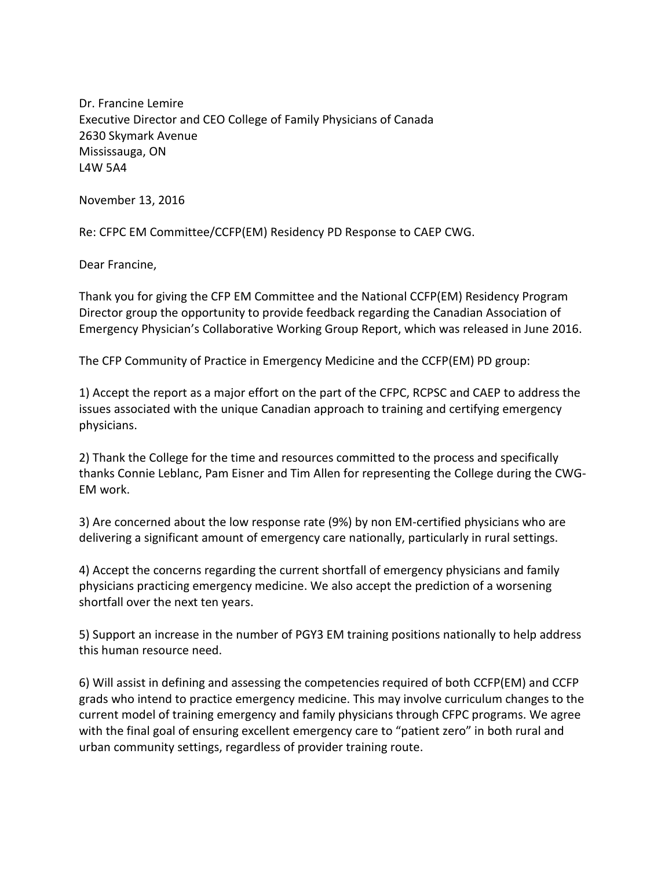Dr. Francine Lemire Executive Director and CEO College of Family Physicians of Canada 2630 Skymark Avenue Mississauga, ON L4W 5A4

November 13, 2016

Re: CFPC EM Committee/CCFP(EM) Residency PD Response to CAEP CWG.

Dear Francine,

Thank you for giving the CFP EM Committee and the National CCFP(EM) Residency Program Director group the opportunity to provide feedback regarding the Canadian Association of Emergency Physician's Collaborative Working Group Report, which was released in June 2016.

The CFP Community of Practice in Emergency Medicine and the CCFP(EM) PD group:

1) Accept the report as a major effort on the part of the CFPC, RCPSC and CAEP to address the issues associated with the unique Canadian approach to training and certifying emergency physicians.

2) Thank the College for the time and resources committed to the process and specifically thanks Connie Leblanc, Pam Eisner and Tim Allen for representing the College during the CWG-EM work.

3) Are concerned about the low response rate (9%) by non EM-certified physicians who are delivering a significant amount of emergency care nationally, particularly in rural settings.

4) Accept the concerns regarding the current shortfall of emergency physicians and family physicians practicing emergency medicine. We also accept the prediction of a worsening shortfall over the next ten years.

5) Support an increase in the number of PGY3 EM training positions nationally to help address this human resource need.

6) Will assist in defining and assessing the competencies required of both CCFP(EM) and CCFP grads who intend to practice emergency medicine. This may involve curriculum changes to the current model of training emergency and family physicians through CFPC programs. We agree with the final goal of ensuring excellent emergency care to "patient zero" in both rural and urban community settings, regardless of provider training route.